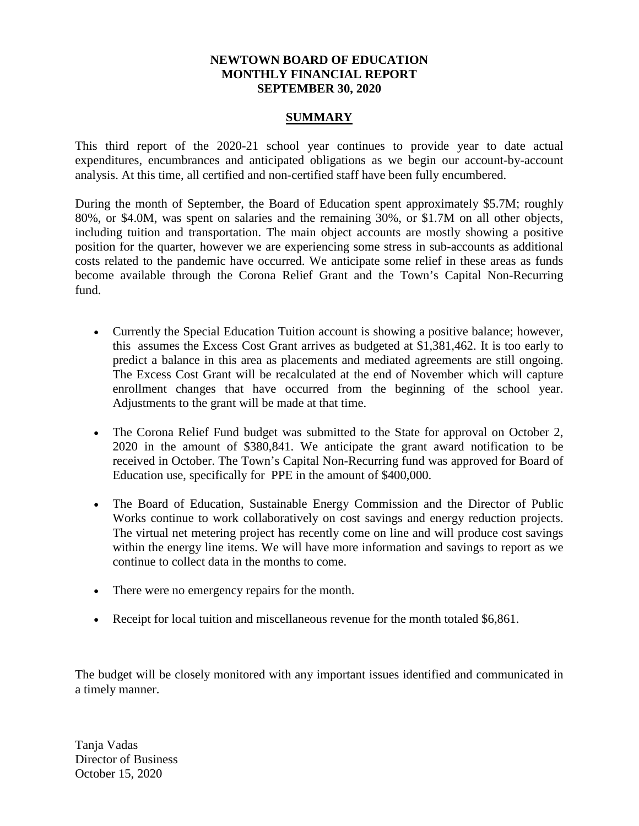### **NEWTOWN BOARD OF EDUCATION MONTHLY FINANCIAL REPORT SEPTEMBER 30, 2020**

### **SUMMARY**

This third report of the 2020-21 school year continues to provide year to date actual expenditures, encumbrances and anticipated obligations as we begin our account-by-account analysis. At this time, all certified and non-certified staff have been fully encumbered.

During the month of September, the Board of Education spent approximately \$5.7M; roughly 80%, or \$4.0M, was spent on salaries and the remaining 30%, or \$1.7M on all other objects, including tuition and transportation. The main object accounts are mostly showing a positive position for the quarter, however we are experiencing some stress in sub-accounts as additional costs related to the pandemic have occurred. We anticipate some relief in these areas as funds become available through the Corona Relief Grant and the Town's Capital Non-Recurring fund.

- Currently the Special Education Tuition account is showing a positive balance; however, this assumes the Excess Cost Grant arrives as budgeted at \$1,381,462. It is too early to predict a balance in this area as placements and mediated agreements are still ongoing. The Excess Cost Grant will be recalculated at the end of November which will capture enrollment changes that have occurred from the beginning of the school year. Adjustments to the grant will be made at that time.
- The Corona Relief Fund budget was submitted to the State for approval on October 2, 2020 in the amount of \$380,841. We anticipate the grant award notification to be received in October. The Town's Capital Non-Recurring fund was approved for Board of Education use, specifically for PPE in the amount of \$400,000.
- The Board of Education, Sustainable Energy Commission and the Director of Public Works continue to work collaboratively on cost savings and energy reduction projects. The virtual net metering project has recently come on line and will produce cost savings within the energy line items. We will have more information and savings to report as we continue to collect data in the months to come.
- There were no emergency repairs for the month.
- Receipt for local tuition and miscellaneous revenue for the month totaled \$6,861.

The budget will be closely monitored with any important issues identified and communicated in a timely manner.

Tanja Vadas Director of Business October 15, 2020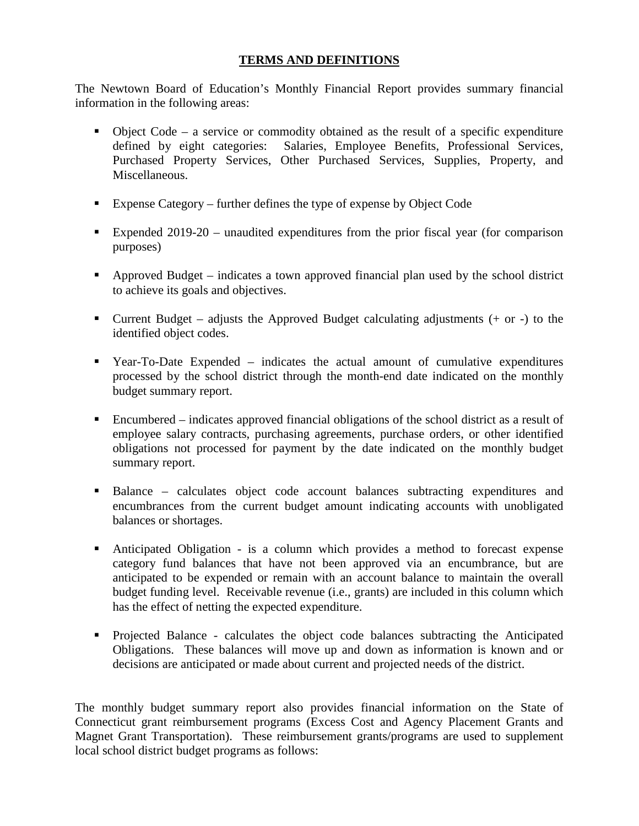### **TERMS AND DEFINITIONS**

The Newtown Board of Education's Monthly Financial Report provides summary financial information in the following areas:

- $\bullet$  Object Code a service or commodity obtained as the result of a specific expenditure defined by eight categories: Salaries, Employee Benefits, Professional Services, Purchased Property Services, Other Purchased Services, Supplies, Property, and Miscellaneous.
- Expense Category further defines the type of expense by Object Code
- Expended 2019-20 unaudited expenditures from the prior fiscal year (for comparison purposes)
- Approved Budget indicates a town approved financial plan used by the school district to achieve its goals and objectives.
- **Current Budget** adjusts the Approved Budget calculating adjustments  $(+)$  or  $-)$  to the identified object codes.
- Year-To-Date Expended indicates the actual amount of cumulative expenditures processed by the school district through the month-end date indicated on the monthly budget summary report.
- Encumbered indicates approved financial obligations of the school district as a result of employee salary contracts, purchasing agreements, purchase orders, or other identified obligations not processed for payment by the date indicated on the monthly budget summary report.
- Balance calculates object code account balances subtracting expenditures and encumbrances from the current budget amount indicating accounts with unobligated balances or shortages.
- Anticipated Obligation is a column which provides a method to forecast expense category fund balances that have not been approved via an encumbrance, but are anticipated to be expended or remain with an account balance to maintain the overall budget funding level. Receivable revenue (i.e., grants) are included in this column which has the effect of netting the expected expenditure.
- Projected Balance calculates the object code balances subtracting the Anticipated Obligations. These balances will move up and down as information is known and or decisions are anticipated or made about current and projected needs of the district.

The monthly budget summary report also provides financial information on the State of Connecticut grant reimbursement programs (Excess Cost and Agency Placement Grants and Magnet Grant Transportation). These reimbursement grants/programs are used to supplement local school district budget programs as follows: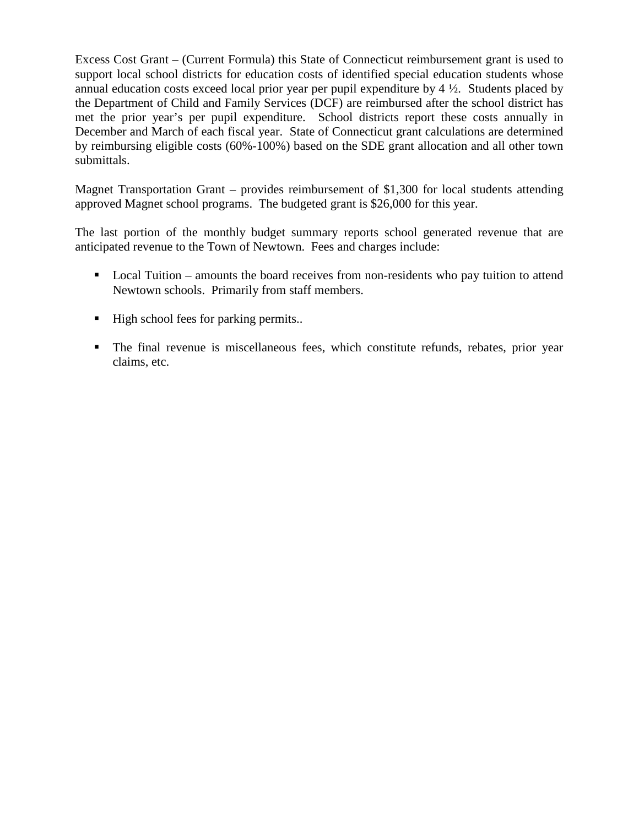Excess Cost Grant – (Current Formula) this State of Connecticut reimbursement grant is used to support local school districts for education costs of identified special education students whose annual education costs exceed local prior year per pupil expenditure by 4 ½. Students placed by the Department of Child and Family Services (DCF) are reimbursed after the school district has met the prior year's per pupil expenditure. School districts report these costs annually in December and March of each fiscal year. State of Connecticut grant calculations are determined by reimbursing eligible costs (60%-100%) based on the SDE grant allocation and all other town submittals.

Magnet Transportation Grant – provides reimbursement of \$1,300 for local students attending approved Magnet school programs. The budgeted grant is \$26,000 for this year.

The last portion of the monthly budget summary reports school generated revenue that are anticipated revenue to the Town of Newtown. Fees and charges include:

- Local Tuition amounts the board receives from non-residents who pay tuition to attend Newtown schools. Primarily from staff members.
- High school fees for parking permits..
- The final revenue is miscellaneous fees, which constitute refunds, rebates, prior year claims, etc.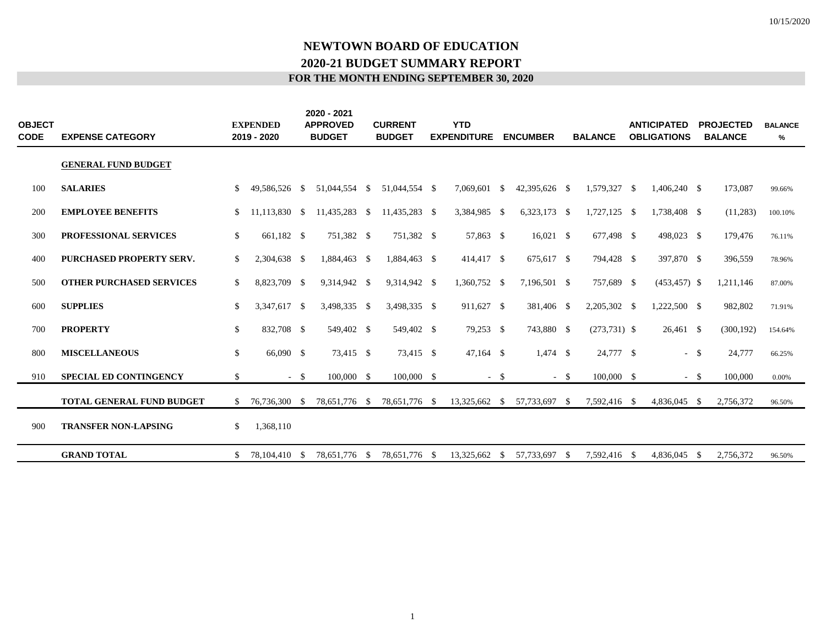|  | FOR THE MONTH ENDING SEPTEMBER 30, 2020 |  |  |
|--|-----------------------------------------|--|--|
|  |                                         |  |  |

| <b>OBJECT</b><br><b>CODE</b> | <b>EXPENSE CATEGORY</b>         |                    | <b>EXPENDED</b><br>2019 - 2020 |        | 2020 - 2021<br><b>APPROVED</b><br><b>BUDGET</b> | <b>CURRENT</b><br><b>BUDGET</b> | <b>YTD</b><br><b>EXPENDITURE</b> |          | <b>ENCUMBER</b> |        | <b>BALANCE</b> | <b>ANTICIPATED</b><br><b>OBLIGATIONS</b> |        | <b>PROJECTED</b><br><b>BALANCE</b> | <b>BALANCE</b><br>% |  |
|------------------------------|---------------------------------|--------------------|--------------------------------|--------|-------------------------------------------------|---------------------------------|----------------------------------|----------|-----------------|--------|----------------|------------------------------------------|--------|------------------------------------|---------------------|--|
|                              | <b>GENERAL FUND BUDGET</b>      |                    |                                |        |                                                 |                                 |                                  |          |                 |        |                |                                          |        |                                    |                     |  |
| 100                          | <b>SALARIES</b>                 | \$.                | 49,586,526 \$                  |        | 51,044,554 \$                                   | 51,044,554 \$                   | 7,069,601                        | -\$      | 42,395,626 \$   |        | 1,579,327 \$   | 1,406,240 \$                             |        | 173,087                            | 99.66%              |  |
| 200                          | <b>EMPLOYEE BENEFITS</b>        | S.                 | 11,113,830 \$                  |        | 11,435,283 \$                                   | 11,435,283 \$                   | 3,384,985 \$                     |          | $6,323,173$ \$  |        | $1,727,125$ \$ | 1,738,408 \$                             |        | (11,283)                           | 100.10%             |  |
| 300                          | PROFESSIONAL SERVICES           | \$                 | 661,182 \$                     |        | 751,382 \$                                      | 751,382 \$                      | 57,863 \$                        |          | $16,021$ \$     |        | 677,498 \$     | 498,023 \$                               |        | 179,476                            | 76.11%              |  |
| 400                          | <b>PURCHASED PROPERTY SERV.</b> | \$                 | 2,304,638 \$                   |        | 1,884,463 \$                                    | 1,884,463 \$                    | 414,417 \$                       |          | 675,617 \$      |        | 794,428 \$     | 397,870 \$                               |        | 396,559                            | 78.96%              |  |
| 500                          | <b>OTHER PURCHASED SERVICES</b> | <sup>S</sup>       | 8,823,709 \$                   |        | 9,314,942 \$                                    | 9,314,942 \$                    | 1,360,752 \$                     |          | 7,196,501 \$    |        | 757,689 \$     | $(453, 457)$ \$                          |        | 1,211,146                          | 87.00%              |  |
| 600                          | <b>SUPPLIES</b>                 | \$                 | 3,347,617 \$                   |        | 3,498,335 \$                                    | 3,498,335 \$                    | 911,627 \$                       |          | 381,406 \$      |        | 2,205,302 \$   | 1,222,500 \$                             |        | 982,802                            | 71.91%              |  |
| 700                          | <b>PROPERTY</b>                 | $\mathbf{\hat{S}}$ | 832,708 \$                     |        | 549,402 \$                                      | 549,402 \$                      | 79,253 \$                        |          | 743,880 \$      |        | $(273,731)$ \$ | 26,461 \$                                |        | (300, 192)                         | 154.64%             |  |
| 800                          | <b>MISCELLANEOUS</b>            | \$                 | 66,090 \$                      |        | 73,415 \$                                       | 73,415 \$                       | $47,164$ \$                      |          | $1,474$ \$      |        | 24,777 \$      |                                          | $-$ \$ | 24,777                             | 66.25%              |  |
| 910                          | <b>SPECIAL ED CONTINGENCY</b>   | \$                 |                                | $-$ \$ | $100,000$ \$                                    | $100,000$ \$                    |                                  | $-$ \$   |                 | $-$ \$ | $100,000$ \$   |                                          | $-$ \$ | 100,000                            | 0.00%               |  |
|                              | TOTAL GENERAL FUND BUDGET       | \$                 | 76,736,300 \$                  |        | 78,651,776 \$                                   | 78,651,776 \$                   | 13,325,662 \$                    |          | 57,733,697 \$   |        | 7,592,416 \$   | 4,836,045 \$                             |        | 2,756,372                          | 96.50%              |  |
| 900                          | <b>TRANSFER NON-LAPSING</b>     | \$                 | 1,368,110                      |        |                                                 |                                 |                                  |          |                 |        |                |                                          |        |                                    |                     |  |
|                              | <b>GRAND TOTAL</b>              | S.                 | 78.104.410 \$                  |        | 78.651.776 \$                                   | 78,651,776 \$                   | 13,325,662                       | <b>S</b> | 57,733,697      | - \$   | 7,592,416 \$   | 4,836,045 \$                             |        | 2,756,372                          | 96.50%              |  |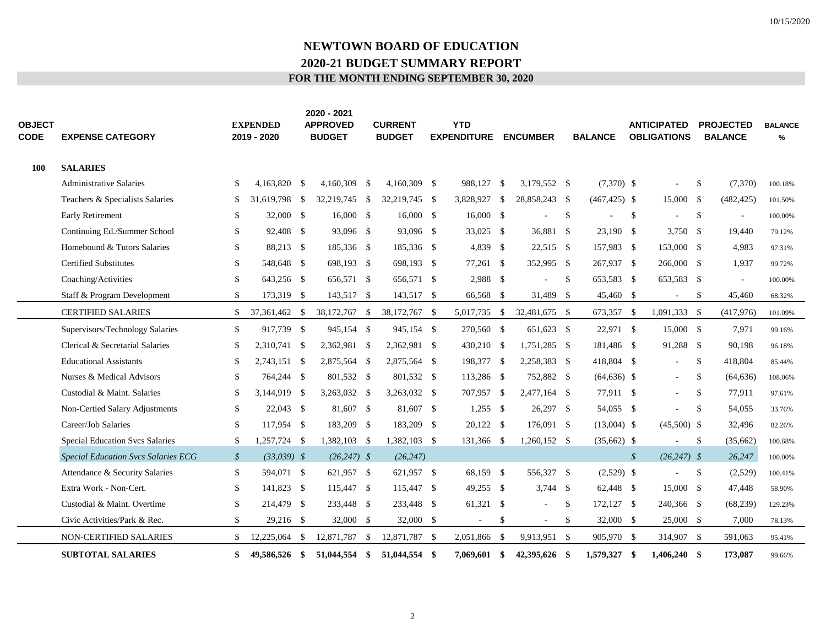| <b>OBJECT</b><br><b>CODE</b> | <b>EXPENSE CATEGORY</b>                    |               | <b>EXPENDED</b><br>2019 - 2020 | 2020 - 2021<br><b>APPROVED</b><br><b>BUDGET</b> | <b>CURRENT</b><br><b>BUDGET</b> | <b>YTD</b><br><b>EXPENDITURE</b> |      | <b>ENCUMBER</b> |     | <b>BALANCE</b>  |               | <b>ANTICIPATED</b><br><b>OBLIGATIONS</b> |               | <b>PROJECTED</b><br><b>BALANCE</b> | <b>BALANCE</b><br>% |
|------------------------------|--------------------------------------------|---------------|--------------------------------|-------------------------------------------------|---------------------------------|----------------------------------|------|-----------------|-----|-----------------|---------------|------------------------------------------|---------------|------------------------------------|---------------------|
| 100                          | <b>SALARIES</b>                            |               |                                |                                                 |                                 |                                  |      |                 |     |                 |               |                                          |               |                                    |                     |
|                              | <b>Administrative Salaries</b>             | S.            | 4.163.820 \$                   | 4,160,309 \$                                    | $4,160,309$ \$                  | 988,127 \$                       |      | 3,179,552 \$    |     | $(7,370)$ \$    |               |                                          | \$            | (7,370)                            | 100.18%             |
|                              | Teachers & Specialists Salaries            | -S            | 31,619,798 \$                  | 32,219,745 \$                                   | 32,219,745 \$                   | 3,828,927                        | - \$ | 28,858,243 \$   |     | $(467, 425)$ \$ |               | 15,000 \$                                |               | (482, 425)                         | 101.50%             |
|                              | Early Retirement                           |               | 32,000 \$                      | $16,000 \quad$ \$                               | $16,000 \quad$ \$               | $16,000 \quad$ \$                |      | ÷,              | \$  |                 | -S            |                                          | \$            | $\sim$                             | 100.00%             |
|                              | Continuing Ed./Summer School               | S.            | 92,408 \$                      | 93,096 \$                                       | 93,096 \$                       | 33,025 \$                        |      | 36,881 \$       |     | 23,190 \$       |               | 3,750 \$                                 |               | 19,440                             | 79.12%              |
|                              | Homebound & Tutors Salaries                | \$            | 88,213 \$                      | 185,336 \$                                      | 185,336 \$                      | 4,839 \$                         |      | $22,515$ \$     |     | 157,983 \$      |               | 153,000 \$                               |               | 4,983                              | 97.31%              |
|                              | <b>Certified Substitutes</b>               | \$            | 548,648 \$                     | 698,193 \$                                      | 698,193 \$                      | 77,261 \$                        |      | 352,995 \$      |     | 267,937 \$      |               | 266,000 \$                               |               | 1,937                              | 99.72%              |
|                              | Coaching/Activities                        | \$            | 643,256 \$                     | 656,571 \$                                      | 656,571 \$                      | 2,988 \$                         |      | ä,              | -\$ | 653,583 \$      |               | 653,583 \$                               |               | $\sim$                             | 100.00%             |
|                              | Staff & Program Development                | \$            | 173,319 \$                     | 143,517 \$                                      | 143,517 \$                      | 66,568 \$                        |      | 31,489 \$       |     | 45,460 \$       |               | $\sim$                                   | $\mathbb{S}$  | 45,460                             | 68.32%              |
|                              | <b>CERTIFIED SALARIES</b>                  | \$            | 37,361,462 \$                  | 38,172,767 \$                                   | 38,172,767 \$                   | 5,017,735 \$                     |      | 32,481,675 \$   |     | 673,357 \$      |               | 1,091,333 \$                             |               | (417, 976)                         | 101.09%             |
|                              | Supervisors/Technology Salaries            | \$            | 917,739 \$                     | 945,154 \$                                      | 945,154 \$                      | 270,560 \$                       |      | 651,623 \$      |     | 22,971 \$       |               | 15,000 \$                                |               | 7,971                              | 99.16%              |
|                              | Clerical & Secretarial Salaries            | -S            | 2,310,741 \$                   | 2,362,981 \$                                    | 2,362,981 \$                    | 430,210 \$                       |      | 1,751,285 \$    |     | 181,486 \$      |               | 91,288 \$                                |               | 90,198                             | 96.18%              |
|                              | <b>Educational Assistants</b>              | S.            | 2,743,151 \$                   | 2,875,564 \$                                    | 2,875,564 \$                    | 198,377 \$                       |      | 2,258,383 \$    |     | 418,804 \$      |               |                                          | $\mathbb{S}$  | 418,804                            | 85.44%              |
|                              | Nurses & Medical Advisors                  | <sup>\$</sup> | 764,244 \$                     | 801,532 \$                                      | 801,532 \$                      | 113,286 \$                       |      | 752,882 \$      |     | $(64, 636)$ \$  |               | $\sim$                                   | \$            | (64, 636)                          | 108.06%             |
|                              | Custodial & Maint. Salaries                | -S            | 3,144,919 \$                   | 3,263,032 \$                                    | 3,263,032 \$                    | 707,957 \$                       |      | 2,477,164 \$    |     | 77,911 \$       |               |                                          | <sup>\$</sup> | 77,911                             | 97.61%              |
|                              | Non-Certied Salary Adjustments             | \$            | $22,043$ \$                    | 81,607 \$                                       | 81,607 \$                       | $1,255$ \$                       |      | 26,297 \$       |     | 54,055 \$       |               | $\sim$                                   | $\mathbb{S}$  | 54,055                             | 33.76%              |
|                              | Career/Job Salaries                        | \$            | 117,954 \$                     | 183,209 \$                                      | 183,209 \$                      | 20,122 \$                        |      | 176,091 \$      |     | $(13,004)$ \$   |               | $(45,500)$ \$                            |               | 32,496                             | 82.26%              |
|                              | <b>Special Education Svcs Salaries</b>     | \$            | 1,257,724 \$                   | 1,382,103 \$                                    | 1,382,103 \$                    | 131,366 \$                       |      | $1,260,152$ \$  |     | $(35,662)$ \$   |               |                                          | \$            | (35,662)                           | 100.68%             |
|                              | <b>Special Education Svcs Salaries ECG</b> | $\mathcal{S}$ | $(33,039)$ \$                  | $(26,247)$ \$                                   | (26, 247)                       |                                  |      |                 |     |                 | $\mathcal{S}$ | $(26,247)$ \$                            |               | 26,247                             | 100.00%             |
|                              | Attendance & Security Salaries             | \$            | 594,071 \$                     | 621,957 \$                                      | 621,957 \$                      | 68,159 \$                        |      | 556,327 \$      |     | $(2,529)$ \$    |               |                                          | $\mathbf{\$}$ | (2,529)                            | 100.41%             |
|                              | Extra Work - Non-Cert.                     | \$            | 141,823 \$                     | 115,447 \$                                      | 115,447 \$                      | $49,255$ \$                      |      | $3,744$ \$      |     | 62,448 \$       |               | 15,000 \$                                |               | 47,448                             | 58.90%              |
|                              | Custodial & Maint. Overtime                | \$            | 214,479 \$                     | 233,448 \$                                      | 233,448 \$                      | 61,321 \$                        |      | $\sim$          | \$  | 172,127 \$      |               | 240,366 \$                               |               | (68, 239)                          | 129.23%             |
|                              | Civic Activities/Park & Rec.               | \$            | 29,216 \$                      | 32,000 \$                                       | 32,000 \$                       | $\overline{\phantom{a}}$         | \$   | $\sim$          | \$  | 32,000 \$       |               | 25,000 \$                                |               | 7,000                              | 78.13%              |
|                              | NON-CERTIFIED SALARIES                     | \$            | 12,225,064 \$                  | 12,871,787 \$                                   | 12,871,787 \$                   | 2,051,866                        | - \$ | 9,913,951 \$    |     | 905,970 \$      |               | 314,907 \$                               |               | 591,063                            | 95.41%              |
|                              | <b>SUBTOTAL SALARIES</b>                   | \$            | 49,586,526 \$                  | 51,044,554 \$                                   | 51,044,554 \$                   | 7,069,601 \$                     |      | 42,395,626 \$   |     | 1,579,327 \$    |               | $1,406,240$ \$                           |               | 173,087                            | 99.66%              |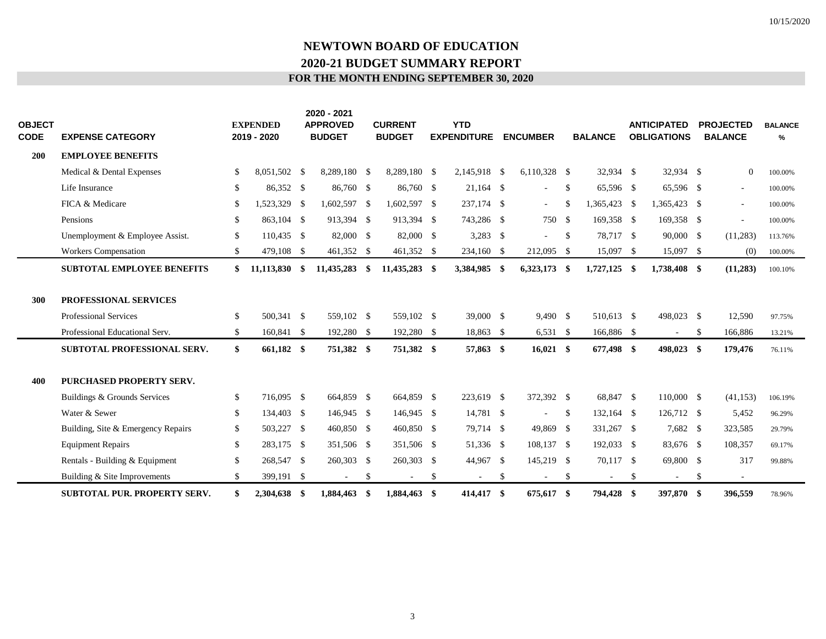| <b>OBJECT</b><br><b>CODE</b> | <b>EXPENSE CATEGORY</b>                        |     | <b>EXPENDED</b><br>2019 - 2020 | 2020 - 2021<br><b>APPROVED</b><br><b>BUDGET</b> |               | <b>CURRENT</b><br><b>BUDGET</b> |    | <b>YTD</b><br><b>EXPENDITURE</b> |     | <b>ENCUMBER</b>          |               | <b>BALANCE</b>           |               | <b>ANTICIPATED</b><br><b>OBLIGATIONS</b> | <b>PROJECTED</b><br><b>BALANCE</b> | <b>BALANCE</b><br>% |
|------------------------------|------------------------------------------------|-----|--------------------------------|-------------------------------------------------|---------------|---------------------------------|----|----------------------------------|-----|--------------------------|---------------|--------------------------|---------------|------------------------------------------|------------------------------------|---------------------|
| <b>200</b>                   | <b>EMPLOYEE BENEFITS</b>                       |     |                                |                                                 |               |                                 |    |                                  |     |                          |               |                          |               |                                          |                                    |                     |
|                              | Medical & Dental Expenses                      | \$  | 8,051,502 \$                   | 8,289,180 \$                                    |               | 8,289,180 \$                    |    | 2,145,918 \$                     |     | $6,110,328$ \$           |               | 32,934 \$                |               | 32,934 \$                                | $\overline{0}$                     | 100.00%             |
|                              | Life Insurance                                 | \$. | 86,352 \$                      | 86,760 \$                                       |               | 86,760 \$                       |    | $21,164$ \$                      |     | ä,                       | <sup>\$</sup> | 65,596 \$                |               | 65,596 \$                                | $\sim$                             | 100.00%             |
|                              | FICA & Medicare                                | -S  | 1,523,329 \$                   | 1,602,597 \$                                    |               | 1,602,597 \$                    |    | 237,174 \$                       |     | $\sim$                   | <sup>\$</sup> | 1,365,423 \$             |               | 1,365,423 \$                             | ÷.                                 | 100.00%             |
|                              | Pensions                                       | S.  | 863,104 \$                     | 913,394 \$                                      |               | 913,394 \$                      |    | 743,286 \$                       |     | 750 \$                   |               | 169,358 \$               |               | 169,358 \$                               | $\sim$                             | 100.00%             |
|                              | Unemployment & Employee Assist.                | \$  | 110,435 \$                     | 82,000 \$                                       |               | 82,000 \$                       |    | 3,283 \$                         |     | ÷.                       | -S            | 78,717 \$                |               | 90,000 \$                                | (11, 283)                          | 113.76%             |
|                              | <b>Workers Compensation</b>                    | \$  | 479,108 \$                     | 461,352 \$                                      |               | 461,352 \$                      |    | 234,160 \$                       |     | 212,095 \$               |               | 15,097 \$                |               | 15,097 \$                                | (0)                                | 100.00%             |
|                              | <b>SUBTOTAL EMPLOYEE BENEFITS</b>              | \$  | $11,113,830$ \$                | 11,435,283 \$                                   |               | 11,435,283 \$                   |    | 3,384,985 \$                     |     | $6,323,173$ \$           |               | $1,727,125$ \$           |               | 1,738,408 \$                             | (11,283)                           | 100.10%             |
| 300                          | PROFESSIONAL SERVICES<br>Professional Services | \$  | 500,341 \$                     | 559,102 \$                                      |               | 559,102 \$                      |    | 39,000 \$                        |     | $9,490$ \$               |               | 510,613 \$               |               | 498,023 \$                               | 12,590                             | 97.75%              |
|                              | Professional Educational Serv.                 | \$. | 160,841 \$                     | 192,280 \$                                      |               | 192,280 \$                      |    | 18,863 \$                        |     | $6,531$ \$               |               | 166,886 \$               |               | $\overline{\phantom{a}}$                 | \$<br>166,886                      | 13.21%              |
|                              | <b>SUBTOTAL PROFESSIONAL SERV.</b>             | \$  | 661,182 \$                     | 751,382 \$                                      |               | 751,382 \$                      |    | 57,863 \$                        |     | $16,021$ \$              |               | 677,498 \$               |               | 498,023 \$                               | 179,476                            | 76.11%              |
| 400                          | <b>PURCHASED PROPERTY SERV.</b>                |     |                                |                                                 |               |                                 |    |                                  |     |                          |               |                          |               |                                          |                                    |                     |
|                              | Buildings & Grounds Services                   | \$  | 716,095 \$                     | 664,859 \$                                      |               | 664,859 \$                      |    | 223,619 \$                       |     | 372,392 \$               |               | 68,847 \$                |               | 110,000 \$                               | (41, 153)                          | 106.19%             |
|                              | Water & Sewer                                  | \$  | 134,403 \$                     | 146,945 \$                                      |               | 146,945 \$                      |    | 14,781 \$                        |     | $\sim$                   | \$            | 132,164 \$               |               | 126,712 \$                               | 5,452                              | 96.29%              |
|                              | Building, Site & Emergency Repairs             | \$  | 503,227 \$                     | 460,850 \$                                      |               | 460,850 \$                      |    | 79,714 \$                        |     | 49,869 \$                |               | 331,267 \$               |               | 7,682 \$                                 | 323,585                            | 29.79%              |
|                              | <b>Equipment Repairs</b>                       | \$  | 283,175 \$                     | 351,506 \$                                      |               | 351,506 \$                      |    | 51,336 \$                        |     | 108,137 \$               |               | 192,033 \$               |               | 83,676 \$                                | 108,357                            | 69.17%              |
|                              | Rentals - Building & Equipment                 | \$  | 268,547 \$                     | 260,303 \$                                      |               | 260,303 \$                      |    | 44,967 \$                        |     | 145,219 \$               |               | 70,117 \$                |               | 69,800 \$                                | 317                                | 99.88%              |
|                              | Building & Site Improvements                   | \$  | 399,191 \$                     |                                                 | <sup>\$</sup> |                                 | -S |                                  | \$  | $\overline{\phantom{a}}$ | \$            | $\overline{\phantom{a}}$ | <sup>\$</sup> | $\overline{\phantom{a}}$                 | \$                                 |                     |
|                              | <b>SUBTOTAL PUR. PROPERTY SERV.</b>            |     | 2.304.638 \$                   | 1,884,463                                       | -\$           | 1,884,463 \$                    |    | 414,417                          | -\$ | 675.617                  | - \$          | 794,428 \$               |               | 397,870 \$                               | 396.559                            | 78.96%              |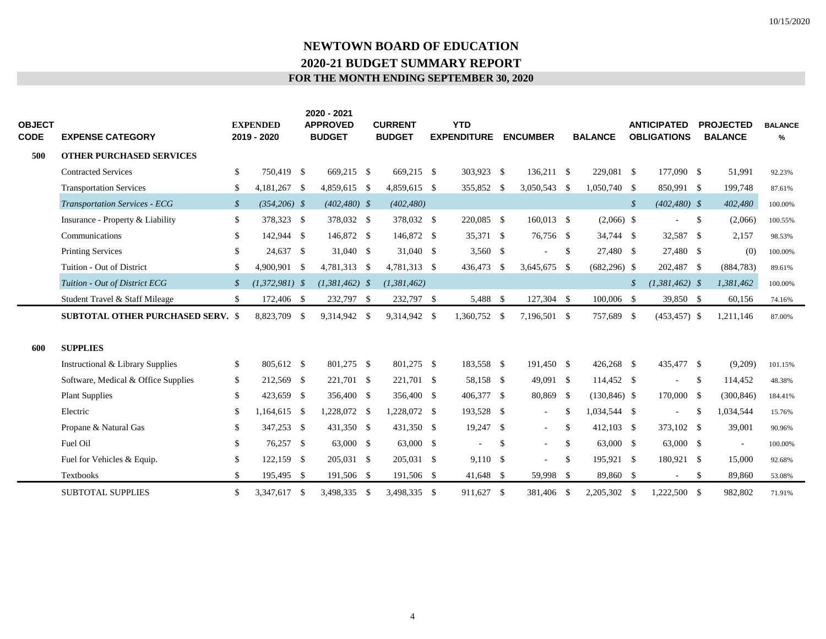| <b>OBJECT</b><br>CODE | <b>EXPENSE CATEGORY</b>                  |                 | <b>EXPENDED</b><br>2019 - 2020 |     | 2020 - 2021<br><b>APPROVED</b><br><b>BUDGET</b> | <b>CURRENT</b><br><b>BUDGET</b> | <b>YTD</b><br><b>EXPENDITURE</b> | <b>ENCUMBER</b>          |               | <b>BALANCE</b>  |               | <b>ANTICIPATED</b><br><b>OBLIGATIONS</b> |                    | <b>PROJECTED</b><br><b>BALANCE</b> | <b>BALANCE</b><br>% |
|-----------------------|------------------------------------------|-----------------|--------------------------------|-----|-------------------------------------------------|---------------------------------|----------------------------------|--------------------------|---------------|-----------------|---------------|------------------------------------------|--------------------|------------------------------------|---------------------|
| 500                   | <b>OTHER PURCHASED SERVICES</b>          |                 |                                |     |                                                 |                                 |                                  |                          |               |                 |               |                                          |                    |                                    |                     |
|                       | <b>Contracted Services</b>               | \$              | 750,419 \$                     |     | 669,215 \$                                      | 669,215 \$                      | 303,923 \$                       | 136,211 \$               |               | 229,081 \$      |               | 177,090 \$                               |                    | 51,991                             | 92.23%              |
|                       | <b>Transportation Services</b>           | S.              | 4,181,267 \$                   |     | 4,859,615 \$                                    | 4,859,615 \$                    | 355,852 \$                       | 3,050,543 \$             |               | 1,050,740 \$    |               | 850,991 \$                               |                    | 199,748                            | 87.61%              |
|                       | <b>Transportation Services - ECG</b>     | $\mathcal{S}$   | $(354,206)$ \$                 |     | $(402, 480)$ \$                                 | (402, 480)                      |                                  |                          |               |                 | $\mathcal{S}$ | $(402, 480)$ \$                          |                    | 402,480                            | 100.00%             |
|                       | Insurance - Property & Liability         | \$              | 378,323 \$                     |     | 378,032 \$                                      | 378,032 \$                      | 220,085 \$                       | 160,013 \$               |               | $(2,066)$ \$    |               |                                          | \$                 | (2,066)                            | 100.55%             |
|                       | Communications                           | S.              | 142,944 \$                     |     | 146,872 \$                                      | 146,872 \$                      | 35,371 \$                        | 76,756 \$                |               | 34,744 \$       |               | 32,587 \$                                |                    | 2,157                              | 98.53%              |
|                       | <b>Printing Services</b>                 | S.              | 24,637 \$                      |     | $31,040$ \$                                     | $31,040$ \$                     | 3,560 \$                         | $\blacksquare$           | -S            | 27,480 \$       |               | 27,480 \$                                |                    | (0)                                | 100.00%             |
|                       | Tuition - Out of District                |                 | 4.900.901 \$                   |     | 4.781.313 \$                                    | 4.781.313 \$                    | 436,473 \$                       | 3.645.675 \$             |               | $(682, 296)$ \$ |               | 202,487 \$                               |                    | (884, 783)                         | 89.61%              |
|                       | Tuition - Out of District ECG            | $\mathcal{S}^-$ | $(1,372,981)$ \$               |     | $(1,381,462)$ \$                                | (1,381,462)                     |                                  |                          |               |                 | $\mathcal{S}$ | $(1,381,462)$ \$                         |                    | 1,381,462                          | 100.00%             |
|                       | Student Travel & Staff Mileage           | \$              | 172,406 \$                     |     | 232,797 \$                                      | 232,797 \$                      | 5,488 \$                         | 127,304 \$               |               | 100,006 \$      |               | 39,850 \$                                |                    | 60,156                             | 74.16%              |
|                       | <b>SUBTOTAL OTHER PURCHASED SERV. \$</b> |                 | 8,823,709 \$                   |     | 9,314,942 \$                                    | 9,314,942 \$                    | 1,360,752 \$                     | 7,196,501 \$             |               | 757,689 \$      |               | $(453, 457)$ \$                          |                    | 1,211,146                          | 87.00%              |
|                       |                                          |                 |                                |     |                                                 |                                 |                                  |                          |               |                 |               |                                          |                    |                                    |                     |
| 600                   | <b>SUPPLIES</b>                          |                 |                                |     |                                                 |                                 |                                  |                          |               |                 |               |                                          |                    |                                    |                     |
|                       | Instructional & Library Supplies         | \$              | 805,612 \$                     |     | 801,275 \$                                      | 801,275 \$                      | 183,558 \$                       | 191,450 \$               |               | $426,268$ \$    |               | 435,477 \$                               |                    | (9,209)                            | 101.15%             |
|                       | Software, Medical & Office Supplies      | \$              | 212,569 \$                     |     | 221,701 \$                                      | 221,701 \$                      | 58,158 \$                        | 49,091 \$                |               | 114,452 \$      |               |                                          | <sup>\$</sup>      | 114,452                            | 48.38%              |
|                       | <b>Plant Supplies</b>                    | \$              | 423,659 \$                     |     | 356,400 \$                                      | 356,400 \$                      | 406,377 \$                       | 80,869 \$                |               | $(130, 846)$ \$ |               | 170,000 \$                               |                    | (300, 846)                         | 184.41%             |
|                       | Electric                                 | S.              | 1,164,615 \$                   |     | 1,228,072 \$                                    | 1,228,072 \$                    | 193,528 \$                       | $\overline{\phantom{a}}$ | -\$           | 1,034,544 \$    |               |                                          | $\mathbb{S}$       | 1,034,544                          | 15.76%              |
|                       | Propane & Natural Gas                    | S.              | 347,253 \$                     |     | 431,350 \$                                      | 431,350 \$                      | $19,247$ \$                      | $\omega$                 | -\$           | $412,103$ \$    |               | 373,102 \$                               |                    | 39,001                             | 90.96%              |
|                       | Fuel Oil                                 | \$              | 76,257 \$                      |     | 63,000 \$                                       | 63,000 \$                       | $\overline{\phantom{a}}$         | \$<br>$\omega$           | \$            | 63,000 \$       |               | 63,000 \$                                |                    | $\sim$                             | 100.00%             |
|                       | Fuel for Vehicles & Equip.               | \$              | 122,159 \$                     |     | 205,031 \$                                      | 205,031 \$                      | 9,110 \$                         | $\blacksquare$           | <sup>\$</sup> | 195,921 \$      |               | 180,921 \$                               |                    | 15,000                             | 92.68%              |
|                       | Textbooks                                | \$              | 195,495 \$                     |     | 191,506 \$                                      | 191,506 \$                      | $41,648$ \$                      | 59,998 \$                |               | 89,860 \$       |               |                                          | \$                 | 89,860                             | 53.08%              |
|                       | <b>SUBTOTAL SUPPLIES</b>                 | \$              | 3,347,617                      | -\$ | 3,498,335 \$                                    | 3,498,335 \$                    | 911,627 \$                       | 381,406 \$               |               | 2,205,302 \$    |               | 1,222,500                                | $\mathbf{\hat{S}}$ | 982,802                            | 71.91%              |